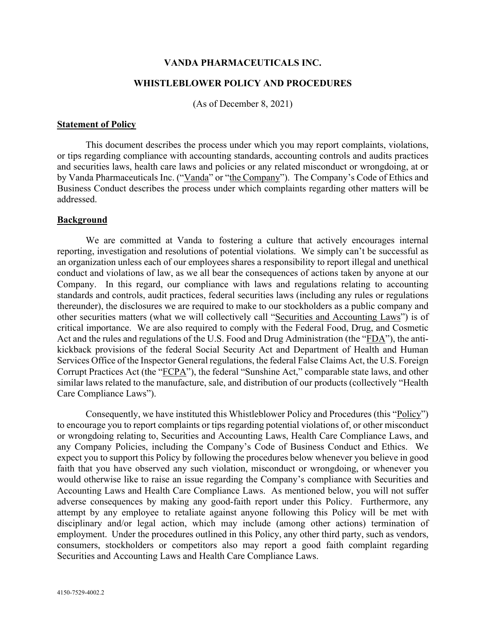### **VANDA PHARMACEUTICALS INC.**

## **WHISTLEBLOWER POLICY AND PROCEDURES**

(As of December 8, 2021)

#### **Statement of Policy**

This document describes the process under which you may report complaints, violations, or tips regarding compliance with accounting standards, accounting controls and audits practices and securities laws, health care laws and policies or any related misconduct or wrongdoing, at or by Vanda Pharmaceuticals Inc. ("Vanda" or "the Company"). The Company's Code of Ethics and Business Conduct describes the process under which complaints regarding other matters will be addressed.

### **Background**

We are committed at Vanda to fostering a culture that actively encourages internal reporting, investigation and resolutions of potential violations. We simply can't be successful as an organization unless each of our employees shares a responsibility to report illegal and unethical conduct and violations of law, as we all bear the consequences of actions taken by anyone at our Company. In this regard, our compliance with laws and regulations relating to accounting standards and controls, audit practices, federal securities laws (including any rules or regulations thereunder), the disclosures we are required to make to our stockholders as a public company and other securities matters (what we will collectively call "Securities and Accounting Laws") is of critical importance. We are also required to comply with the Federal Food, Drug, and Cosmetic Act and the rules and regulations of the U.S. Food and Drug Administration (the "FDA"), the antikickback provisions of the federal Social Security Act and Department of Health and Human Services Office of the Inspector General regulations, the federal False Claims Act, the U.S. Foreign Corrupt Practices Act (the "FCPA"), the federal "Sunshine Act," comparable state laws, and other similar laws related to the manufacture, sale, and distribution of our products (collectively "Health Care Compliance Laws").

Consequently, we have instituted this Whistleblower Policy and Procedures (this "Policy") to encourage you to report complaints or tips regarding potential violations of, or other misconduct or wrongdoing relating to, Securities and Accounting Laws, Health Care Compliance Laws, and any Company Policies, including the Company's Code of Business Conduct and Ethics. We expect you to support this Policy by following the procedures below whenever you believe in good faith that you have observed any such violation, misconduct or wrongdoing, or whenever you would otherwise like to raise an issue regarding the Company's compliance with Securities and Accounting Laws and Health Care Compliance Laws. As mentioned below, you will not suffer adverse consequences by making any good-faith report under this Policy. Furthermore, any attempt by any employee to retaliate against anyone following this Policy will be met with disciplinary and/or legal action, which may include (among other actions) termination of employment. Under the procedures outlined in this Policy, any other third party, such as vendors, consumers, stockholders or competitors also may report a good faith complaint regarding Securities and Accounting Laws and Health Care Compliance Laws.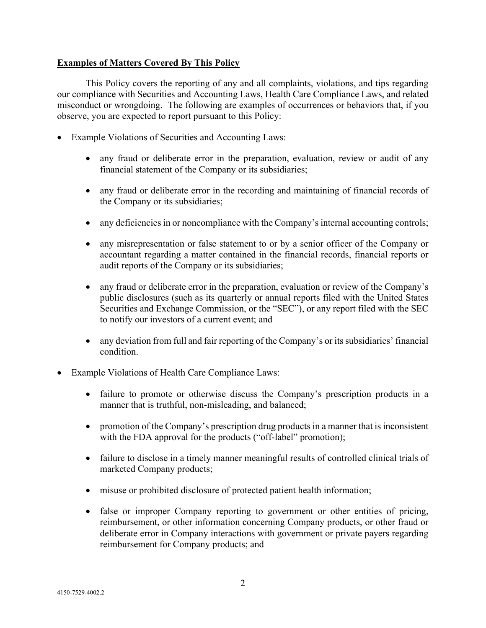# **Examples of Matters Covered By This Policy**

This Policy covers the reporting of any and all complaints, violations, and tips regarding our compliance with Securities and Accounting Laws, Health Care Compliance Laws, and related misconduct or wrongdoing. The following are examples of occurrences or behaviors that, if you observe, you are expected to report pursuant to this Policy:

- Example Violations of Securities and Accounting Laws:
	- any fraud or deliberate error in the preparation, evaluation, review or audit of any financial statement of the Company or its subsidiaries;
	- any fraud or deliberate error in the recording and maintaining of financial records of the Company or its subsidiaries;
	- any deficiencies in or noncompliance with the Company's internal accounting controls;
	- any misrepresentation or false statement to or by a senior officer of the Company or accountant regarding a matter contained in the financial records, financial reports or audit reports of the Company or its subsidiaries;
	- any fraud or deliberate error in the preparation, evaluation or review of the Company's public disclosures (such as its quarterly or annual reports filed with the United States Securities and Exchange Commission, or the "SEC"), or any report filed with the SEC to notify our investors of a current event; and
	- any deviation from full and fair reporting of the Company's or its subsidiaries' financial condition.
- Example Violations of Health Care Compliance Laws:
	- failure to promote or otherwise discuss the Company's prescription products in a manner that is truthful, non-misleading, and balanced;
	- promotion of the Company's prescription drug products in a manner that is inconsistent with the FDA approval for the products ("off-label" promotion);
	- failure to disclose in a timely manner meaningful results of controlled clinical trials of marketed Company products;
	- misuse or prohibited disclosure of protected patient health information;
	- false or improper Company reporting to government or other entities of pricing, reimbursement, or other information concerning Company products, or other fraud or deliberate error in Company interactions with government or private payers regarding reimbursement for Company products; and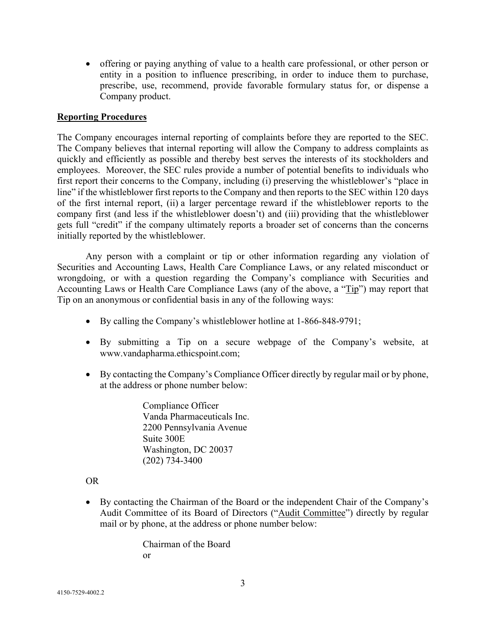• offering or paying anything of value to a health care professional, or other person or entity in a position to influence prescribing, in order to induce them to purchase, prescribe, use, recommend, provide favorable formulary status for, or dispense a Company product.

# **Reporting Procedures**

The Company encourages internal reporting of complaints before they are reported to the SEC. The Company believes that internal reporting will allow the Company to address complaints as quickly and efficiently as possible and thereby best serves the interests of its stockholders and employees. Moreover, the SEC rules provide a number of potential benefits to individuals who first report their concerns to the Company, including (i) preserving the whistleblower's "place in line" if the whistleblower first reports to the Company and then reports to the SEC within 120 days of the first internal report, (ii) a larger percentage reward if the whistleblower reports to the company first (and less if the whistleblower doesn't) and (iii) providing that the whistleblower gets full "credit" if the company ultimately reports a broader set of concerns than the concerns initially reported by the whistleblower.

Any person with a complaint or tip or other information regarding any violation of Securities and Accounting Laws, Health Care Compliance Laws, or any related misconduct or wrongdoing, or with a question regarding the Company's compliance with Securities and Accounting Laws or Health Care Compliance Laws (any of the above, a "Tip") may report that Tip on an anonymous or confidential basis in any of the following ways:

- By calling the Company's whistleblower hotline at 1-866-848-9791;
- By submitting a Tip on a secure webpage of the Company's website, at www.vandapharma.ethicspoint.com;
- By contacting the Company's Compliance Officer directly by regular mail or by phone, at the address or phone number below:

Compliance Officer Vanda Pharmaceuticals Inc. 2200 Pennsylvania Avenue Suite 300E Washington, DC 20037 (202) 734-3400

# OR

• By contacting the Chairman of the Board or the independent Chair of the Company's Audit Committee of its Board of Directors ("Audit Committee") directly by regular mail or by phone, at the address or phone number below:

> Chairman of the Board or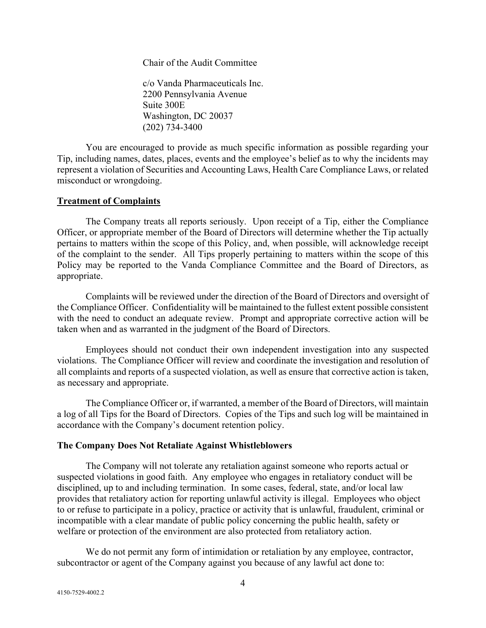Chair of the Audit Committee

c/o Vanda Pharmaceuticals Inc. 2200 Pennsylvania Avenue Suite 300E Washington, DC 20037 (202) 734-3400

You are encouraged to provide as much specific information as possible regarding your Tip, including names, dates, places, events and the employee's belief as to why the incidents may represent a violation of Securities and Accounting Laws, Health Care Compliance Laws, or related misconduct or wrongdoing.

### **Treatment of Complaints**

The Company treats all reports seriously. Upon receipt of a Tip, either the Compliance Officer, or appropriate member of the Board of Directors will determine whether the Tip actually pertains to matters within the scope of this Policy, and, when possible, will acknowledge receipt of the complaint to the sender. All Tips properly pertaining to matters within the scope of this Policy may be reported to the Vanda Compliance Committee and the Board of Directors, as appropriate.

Complaints will be reviewed under the direction of the Board of Directors and oversight of the Compliance Officer. Confidentiality will be maintained to the fullest extent possible consistent with the need to conduct an adequate review. Prompt and appropriate corrective action will be taken when and as warranted in the judgment of the Board of Directors.

Employees should not conduct their own independent investigation into any suspected violations. The Compliance Officer will review and coordinate the investigation and resolution of all complaints and reports of a suspected violation, as well as ensure that corrective action is taken, as necessary and appropriate.

The Compliance Officer or, if warranted, a member of the Board of Directors, will maintain a log of all Tips for the Board of Directors. Copies of the Tips and such log will be maintained in accordance with the Company's document retention policy.

### **The Company Does Not Retaliate Against Whistleblowers**

The Company will not tolerate any retaliation against someone who reports actual or suspected violations in good faith. Any employee who engages in retaliatory conduct will be disciplined, up to and including termination. In some cases, federal, state, and/or local law provides that retaliatory action for reporting unlawful activity is illegal. Employees who object to or refuse to participate in a policy, practice or activity that is unlawful, fraudulent, criminal or incompatible with a clear mandate of public policy concerning the public health, safety or welfare or protection of the environment are also protected from retaliatory action.

We do not permit any form of intimidation or retaliation by any employee, contractor, subcontractor or agent of the Company against you because of any lawful act done to: